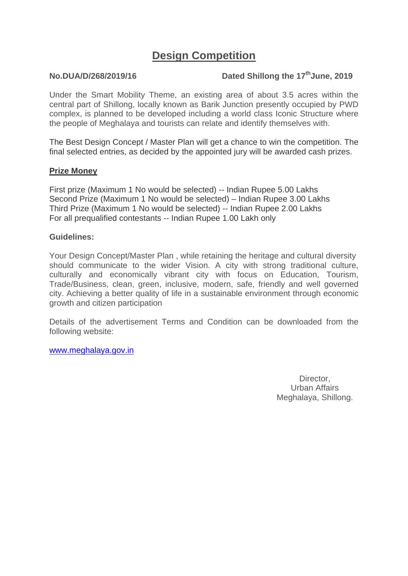# **Design Competition**

# No.DUA/D/268/2019/16 Dated Shillong the 17<sup>th</sup>June, 2019

Under the Smart Mobility Theme, an existing area of about 3.5 acres within the central part of Shillong, locally known as Barik Junction presently occupied by PWD complex, is planned to be developed including a world class Iconic Structure where the people of Meghalaya and tourists can relate and identify themselves with.

The Best Design Concept / Master Plan will get a chance to win the competition. The final selected entries, as decided by the appointed jury will be awarded cash prizes.

### **Prize Money**

First prize (Maximum 1 No would be selected) -- Indian Rupee 5.00 Lakhs Second Prize (Maximum 1 No would be selected) – Indian Rupee 3.00 Lakhs Third Prize (Maximum 1 No would be selected) -- Indian Rupee 2.00 Lakhs For all prequalified contestants -- Indian Rupee 1.00 Lakh only

### **Guidelines:**

Your Design Concept/Master Plan , while retaining the heritage and cultural diversity should communicate to the wider Vision. A city with strong traditional culture, culturally and economically vibrant city with focus on Education, Tourism, Trade/Business, clean, green, inclusive, modern, safe, friendly and well governed city. Achieving a better quality of life in a sustainable environment through economic growth and citizen participation

Details of the advertisement Terms and Condition can be downloaded from the following website:

www.meghalaya.gov.in

Director. Urban Affairs Meghalaya, Shillong.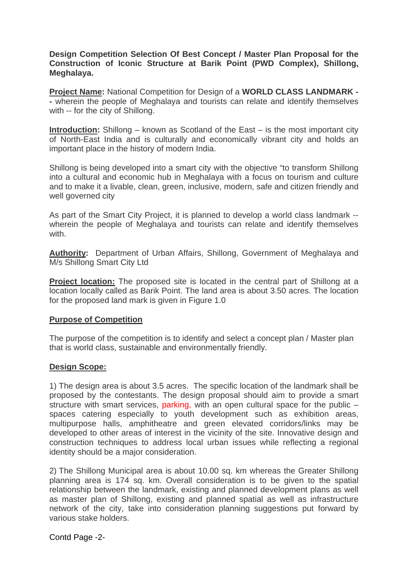**Design Competition Selection Of Best Concept / Master Plan Proposal for the Construction of Iconic Structure at Barik Point (PWD Complex), Shillong, Meghalaya.** 

**Project Name:** National Competition for Design of a **WORLD CLASS LANDMARK - -** wherein the people of Meghalaya and tourists can relate and identify themselves with -- for the city of Shillong.

**Introduction:** Shillong – known as Scotland of the East – is the most important city of North-East India and is culturally and economically vibrant city and holds an important place in the history of modern India.

Shillong is being developed into a smart city with the objective "to transform Shillong into a cultural and economic hub in Meghalaya with a focus on tourism and culture and to make it a livable, clean, green, inclusive, modern, safe and citizen friendly and well governed city

As part of the Smart City Project, it is planned to develop a world class landmark - wherein the people of Meghalaya and tourists can relate and identify themselves with.

**Authority:** Department of Urban Affairs, Shillong, Government of Meghalaya and M/s Shillong Smart City Ltd

**Project location:** The proposed site is located in the central part of Shillong at a location locally called as Barik Point. The land area is about 3.50 acres. The location for the proposed land mark is given in Figure 1.0

#### **Purpose of Competition**

The purpose of the competition is to identify and select a concept plan / Master plan that is world class, sustainable and environmentally friendly.

#### **Design Scope:**

1) The design area is about 3.5 acres. The specific location of the landmark shall be proposed by the contestants. The design proposal should aim to provide a smart structure with smart services, parking, with an open cultural space for the public  $$ spaces catering especially to youth development such as exhibition areas, multipurpose halls, amphitheatre and green elevated corridors/links may be developed to other areas of interest in the vicinity of the site. Innovative design and construction techniques to address local urban issues while reflecting a regional identity should be a major consideration.

2) The Shillong Municipal area is about 10.00 sq. km whereas the Greater Shillong planning area is 174 sq. km. Overall consideration is to be given to the spatial relationship between the landmark, existing and planned development plans as well as master plan of Shillong, existing and planned spatial as well as infrastructure network of the city, take into consideration planning suggestions put forward by various stake holders.

Contd Page -2-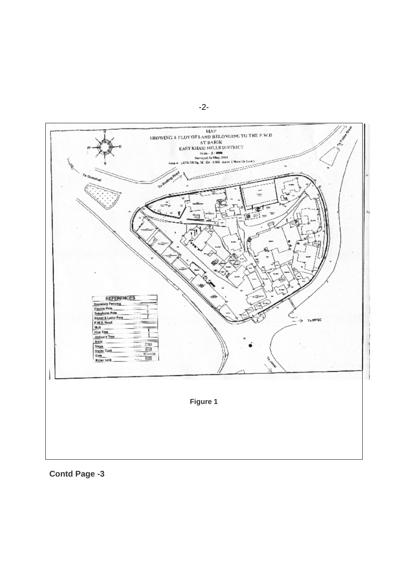

**Contd Page -3** 

 $-2-$